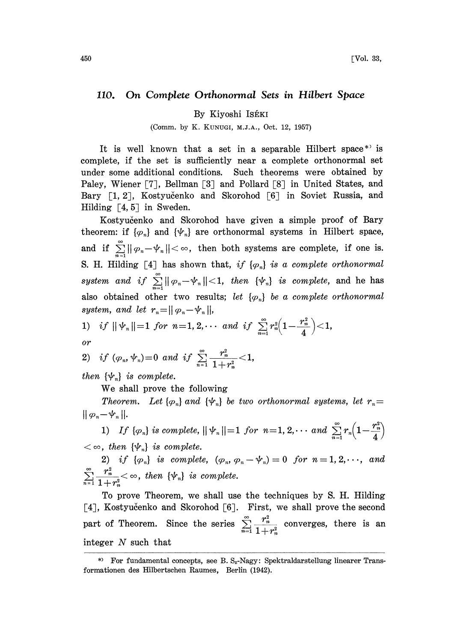## 110. On Complete Orthonormal Sets in Hilbert Space

By Kiyoshi ISÉKI

(Comm. by K. KUNUGI, M.J.A., Oct. 12, 1957)

It is well known that a set in a separable Hilbert space<sup>\*</sup> is complete, if the set is sufficiently near a complete orthonormal set under some additional conditions. Such theorems were obtained by Paley, Wiener [7], Bellman [3] and Pollard [8] in United States, and Bary [1, 2], Kostyučenko and Skorohod [6] in Soviet Russia, and Hilding  $[4, 5]$  in Sweden.

Kostyucenko and Skorohod have given a simple proof of Bary theorem: if  $\{\varphi_n\}$  and  $\{\psi_n\}$  are orthonormal systems in Hilbert space, and if  $\sum_{n=1}^{\infty} ||\varphi_n - \psi_n|| < \infty$ , then both systems are complete, if one is. S. H. Hilding [4] has shown that, if  $\{\varphi_n\}$  is a complete orthonormal system and if  $\sum_{n=1}^{\infty} ||\varphi_n - \psi_n|| < 1$ , then  ${\psi_n}$  is complete, and he has also obtained other two results; let  $\{\varphi_n\}$  be a complete orthonormal system, and let  $r_n = ||\varphi_n - \psi_n||$ ,

system, and let 
$$
r_n = ||\varphi_n - \varphi_n||
$$
,  
\n1) if  $||\psi_n|| = 1$  for  $n = 1, 2, \cdots$  and if  $\sum_{n=1}^{\infty} r_n^2 \left(1 - \frac{r_n^2}{4}\right) < 1$ ,  
\nor

2) if 
$$
(\varphi_n, \psi_n)=0
$$
 and if  $\sum_{n=1}^{\infty} \frac{r_n^2}{1+r_n^2} < 1$ ,

then  $\{\psi_n\}$  is complete.

We shall prove the following

Theorem. Let  $\{\varphi_n\}$  and  $\{\psi_n\}$  be two orthonormal systems, let  $r_n=$  $||\varphi_n-\psi_n||.$ 

1) If  $\{\varphi_n\}$  is complete,  $\|\psi_n\|=1$  for  $n=1, 2, \cdots$  and  $\sum_{n=1}^{\infty} r_n \left(1-\frac{r_n^2}{4}\right)$ <br>  $<\infty$ , then  $\{\psi_n\}$  is complete.

2) if  $\{\varphi_n\}$  is complete,  $(\varphi_n, \varphi_n-\psi_n)=0$  for  $n=1,2,\dots$ , and  $\sum_{n=1}^{\infty} \frac{r_n^2}{1+r_n^2} < \infty$ , then  $\{\psi_n\}$  is complete.

To prove Theorem, we shall use the techniques by S. H. Hilding [4], Kostyučenko and Skorohod [6]. First, we shall prove the second part of Theorem. Since the series  $\sum_{n=1}^{\infty} \frac{r_n^2}{n}$  converges, there is an  $\sum_{n=1}^{\infty} 1+r_n^2$ integer N such that

<sup>\*)</sup> For fundamental concepts, see B.  $S_z$ -Nagy: Spektraldarstellung linearer Transformationen des Hilbertschen Raumes, Berlin (1942).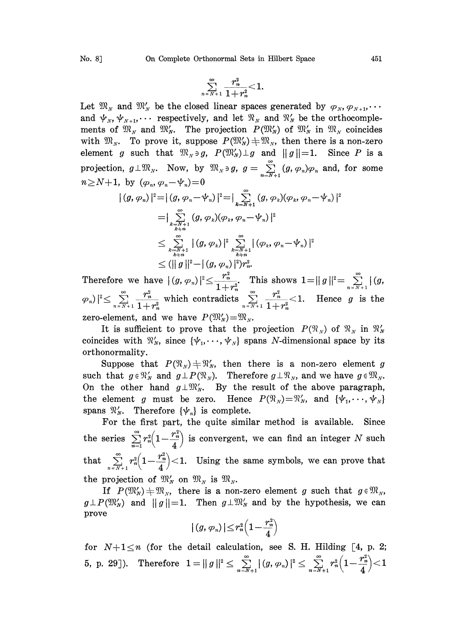$$
\sum_{n=N+1}^{\infty} \frac{r_n^2}{1+r_n^2} < 1
$$

Let  $\mathfrak{M}_N$  and  $\mathfrak{M}'_N$  be the closed linear spaces generated by  $\varphi_N, \varphi_{N+1}, \cdots$ and  $\psi_N, \psi_{N+1}, \cdots$  respectively, and let  $\mathfrak{N}_N$  and  $\mathfrak{N}'_N$  be the orthocomplements of  $\mathfrak{M}_N$  and  $\mathfrak{M}'_N$ . The projection  $P(\mathfrak{M}'_N)$  of  $\mathfrak{M}'_N$  in  $\mathfrak{M}_N$  coincides with  $\mathfrak{M}_N$ . To prove it, suppose  $P(\mathfrak{M}'_N) \neq \mathfrak{M}_N$ , then there is a non-zero element g such that  $\mathfrak{M}_N \ni g$ ,  $P(\mathfrak{M}_N') \perp g$  and  $||g||=1$ . Since P is a projection,  $g\perp \mathfrak{M}_N$ . Now, by  $\mathfrak{M}_N \ni g$ ,  $g=\sum_{n=N+1}^{\infty} (g, \varphi_n)\varphi_n$  and, for some  $n\!\geq\!N\!+\!1$ , by  $(\varphi_n,$  $\vert\left( g, \varphi_n\right)\vert^2\! = \! \vert\left( g, \varphi_n\!-\!\Psi_n\right)\vert^2\!=\! \vert \sum\limits_{k=N+1}^\infty \left( g, \varphi_k\right)\!\!\left( \varphi_k, \varphi_n\!-\!\Psi_n\right)\vert^2$ 

$$
\begin{aligned} \left|\left(\mathcal{g},\varphi_n\right)|^2&=\left|\left(\mathcal{g},\varphi_n-\varphi_n\right)\right|^2=\right|\sum_{k=N+1}\left(\mathcal{g},\varphi_k)(\varphi_k,\varphi_n-\varphi_n\right)\\ &=\left|\sum_{k=N+1\atop k\neq n}\left(\mathcal{g},\varphi_k)(\varphi_k,\varphi_n-\varphi_n\right)\right|^2\\ &\leq\sum_{k=N+1\atop k\neq n}\left|\left(\mathcal{g},\varphi_k\right)\right|^2\sum_{k=N+1\atop k\neq n}\left|\left(\varphi_k,\varphi_n-\varphi_n\right)\right|^2\\ &\leq \left(\left|\left|\left.\mathcal{g}\right|\right|^2-\left|\left(\mathcal{g},\varphi_n\right)\right|^2\right)\gamma_n^2.\end{aligned}
$$

 $\leq (\||g\|^2 - |(g,\varphi_n)|^2) r_n^2.$ <br>Therefore we have  $|(g,\varphi_n)|^2 \leq \frac{r_n^2}{1+r_n^2}$ . This shows  $1 = ||g||^2 = \sum_{n=N+1}^{\infty} |(g,n)|^2$  $\|(\varphi_n)\|^2 \leq \sum_{n=N+1}^{\infty} \frac{r_n^2}{1+r_n^2}$  which contradicts  $\sum_{n=N+1}^{\infty} \frac{r_n^2}{1+r_n^2} < 1$ . Hence g is the zero-element, and we have  $P(\mathfrak{M}'_N)=\mathfrak{M}_N$ .

It is sufficient to prove that the projection  $P(\mathfrak{N}_N)$  of  $\mathfrak{N}_N$  in  $\mathfrak{N}_N'$ coincides with  $\mathcal{R}'_N$ , since  $\{\psi_1, \dots, \psi_N\}$  spans N-dimensional space by its orthonormality.

Suppose that  $P(\mathfrak{N}_N) \neq \mathfrak{N}'_N$ , then there is a non-zero element g such that  $g \in \mathcal{R}'_N$  and  $g \perp P(\mathcal{R}_N)$ . Therefore  $g \perp \mathcal{R}_N$ , and we have  $g \in \mathcal{R}_N$ . such that  $g \in \mathfrak{N}'_N$  and  $g \perp P(\mathfrak{N}_N)$ . Therefore  $g \perp \mathfrak{N}_N$ , and we have  $g \in \mathfrak{M}_N$ .<br>On the other hand  $g \perp \mathfrak{M}'_N$ . By the result of the above paragraph, On the other hand  $g \perp \mathfrak{M}'_N$ . By the result of the above paragraph,<br>the element g must be zero. Hence  $P(\mathfrak{N}_N)=\mathfrak{N}'_N$ , and  $\{\psi_1,\dots,\psi_N\}$ the element g must be zero. Hence  $P(\mathfrak{N}_N)=\mathfrak{N}'_N$ , and  $\{\psi_1,\dots,\psi_N\}$  spans  $\mathfrak{N}'_N$ . Therefore  $\{\psi_n\}$  is complete.

For the first part, the quite similar method is available. Since the series  $\sum_{n=1}^{\infty} r_n^2 \left(1 - \frac{r_n^2}{4}\right)$  is convergent, we can find an integer N such that  $\sum_{n=N+1}^{\infty} r_n^2 \left(1 - \frac{r_n^2}{4}\right) < 1$ . Using the same symbols, we can prove that the projection of  $\mathfrak{M}_N$  on  $\mathfrak{M}_N$  is  $\mathfrak{M}_N$ .

projection of  $\mathfrak{M}'_N$  on  $\mathfrak{M}_N$  is  $\mathfrak{M}_N$ .<br>If  $P(\mathfrak{M}'_N) \neq \mathfrak{M}_N$ , there is a non-zero element g such that  $g \in \mathfrak{M}_N$ ,  $g \perp P(\mathfrak{M}_N)$  and  $||g||=1$ . Then  $g \perp \mathfrak{M}_N$  and by the hypothesis, we can prove

$$
|\left(g,\, \varphi_{\scriptscriptstyle n}\right)|\!\leq\! r_{\scriptscriptstyle n}^2\!\left(1\!-\!\frac{r_{\scriptscriptstyle n}^2}{4}\right)
$$

for  $N+1\leq n$  (for the detail calculation, see S. H. Hilding [4, p. 2; 5, p. 29]). Therefore  $1 = ||g||^2 \le \sum_{n=N+1}^{\infty} |(g, \varphi_n)|^2 \le \sum_{n=N+1}^{\infty} r_n^2 \left(1-\frac{r_n^2}{4}\right) < 1$